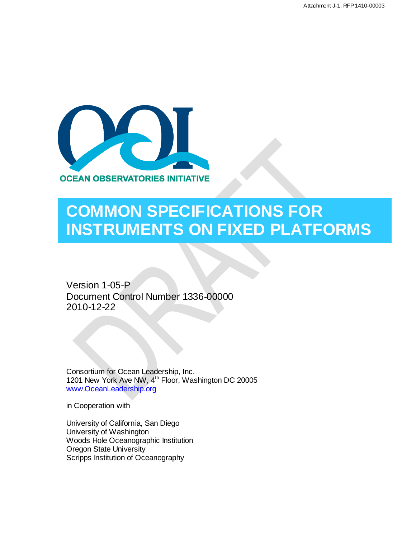

# **COMMON SPECIFICATIONS FOR INSTRUMENTS ON FIXED PLATFORMS**

Version 1-05-P Document Control Number 1336-00000 2010-12-22

Consortium for Ocean Leadership, Inc. 1201 New York Ave NW, 4<sup>th</sup> Floor, Washington DC 20005 [www.OceanLeadership.org](http://www.oceanleadership.org/)

in Cooperation with

University of California, San Diego University of Washington Woods Hole Oceanographic Institution Oregon State University Scripps Institution of Oceanography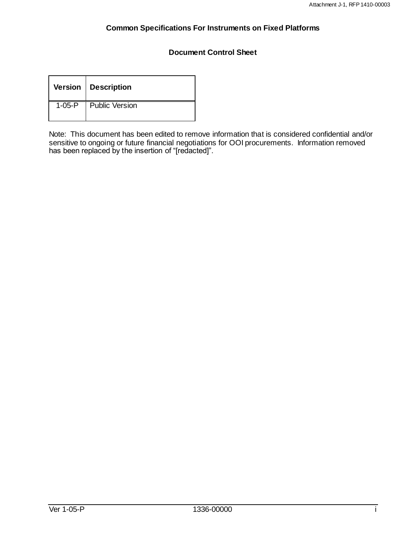#### **Document Control Sheet**

| Version   Description   |
|-------------------------|
| 1-05-P   Public Version |

Note: This document has been edited to remove information that is considered confidential and/or sensitive to ongoing or future financial negotiations for OOI procurements. Information removed has been replaced by the insertion of "[redacted]".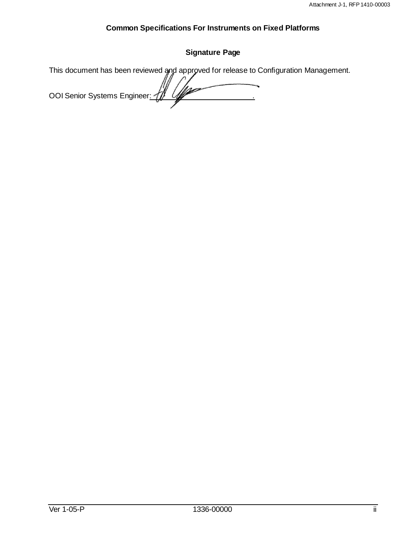# **Signature Page**

This document has been reviewed and approved for release to Configuration Management. OOI Senior Systems Engineer: 41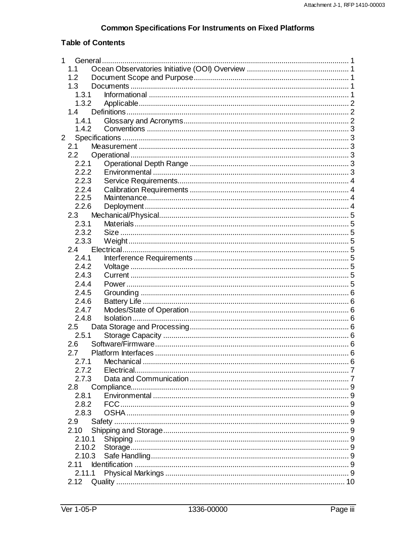# **Table of Contents**

| 1           |        | General |  |
|-------------|--------|---------|--|
|             | 1.1    |         |  |
|             | 1.2    |         |  |
|             | 1.3    |         |  |
|             | 1.3.1  |         |  |
|             | 1.3.2  |         |  |
|             | 1.4    |         |  |
|             | 1.4.1  |         |  |
|             | 1.4.2  |         |  |
| $2^{\circ}$ |        |         |  |
|             | 2.1    |         |  |
|             | 2.2    |         |  |
|             | 2.2.1  |         |  |
|             | 2.2.2  |         |  |
|             | 2.2.3  |         |  |
|             | 2.2.4  |         |  |
|             | 2.2.5  |         |  |
|             | 2.2.6  |         |  |
|             | 2.3    |         |  |
|             | 2.3.1  |         |  |
|             | 2.3.2  |         |  |
|             | 2.3.3  |         |  |
|             | 2.4    |         |  |
|             | 2.4.1  |         |  |
|             | 2.4.2  |         |  |
|             | 2.4.3  |         |  |
|             | 2.4.4  |         |  |
|             | 2.4.5  |         |  |
|             | 2.4.6  |         |  |
|             | 2.4.7  |         |  |
|             | 2.4.8  |         |  |
|             | 2.5    |         |  |
|             | 2.5.1  |         |  |
|             | 2.6    |         |  |
|             | 2.7    |         |  |
|             | 2.7.1  |         |  |
|             | 2.7.2  |         |  |
|             | 2.7.3  |         |  |
|             | 2.8    |         |  |
|             | 2.8.1  |         |  |
|             | 2.8.2  |         |  |
|             | 2.8.3  |         |  |
|             | 2.9    |         |  |
|             | 2.10   |         |  |
|             | 2.10.1 |         |  |
|             | 2.10.2 |         |  |
|             | 2.10.3 |         |  |
|             | 2.11   |         |  |
|             | 2.11.1 |         |  |
|             | 2.12   |         |  |
|             |        |         |  |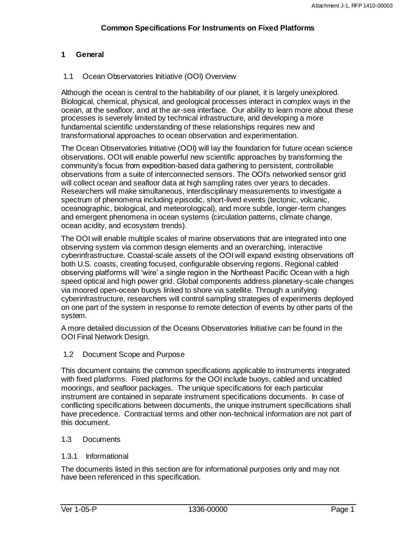#### <span id="page-5-0"></span>**1 General**

#### <span id="page-5-1"></span>1.1 Ocean Observatories Initiative (OOI) Overview

Although the ocean is central to the habitability of our planet, it is largely unexplored. Biological, chemical, physical, and geological processes interact in complex ways in the ocean, at the seafloor, and at the air-sea interface. Our ability to learn more about these processes is severely limited by technical infrastructure, and developing a more fundamental scientific understanding of these relationships requires new and transformational approaches to ocean observation and experimentation.

The Ocean Observatories Initiative (OOI) will lay the foundation for future ocean science observations. OOI will enable powerful new scientific approaches by transforming the community"s focus from expedition-based data gathering to persistent, controllable observations from a suite of interconnected sensors. The OOI's networked sensor grid will collect ocean and seafloor data at high sampling rates over years to decades. Researchers will make simultaneous, interdisciplinary measurements to investigate a spectrum of phenomena including episodic, short-lived events (tectonic, volcanic, oceanographic, biological, and meteorological), and more subtle, longer-term changes and emergent phenomena in ocean systems (circulation patterns, climate change, ocean acidity, and ecosystem trends).

The OOI will enable multiple scales of marine observations that are integrated into one observing system via common design elements and an overarching, interactive cyberinfrastructure. Coastal-scale assets of the OOI will expand existing observations off both U.S. coasts, creating focused, configurable observing regions. Regional cabled observing platforms will "wire" a single region in the Northeast Pacific Ocean with a high speed optical and high power grid. Global components address planetary-scale changes via moored open-ocean buoys linked to shore via satellite. Through a unifying cyberinfrastructure, researchers will control sampling strategies of experiments deployed on one part of the system in response to remote detection of events by other parts of the system.

A more detailed discussion of the Oceans Observatories Initiative can be found in the OOI Final Network Design.

<span id="page-5-2"></span>1.2 Document Scope and Purpose

This document contains the common specifications applicable to instruments integrated with fixed platforms. Fixed platforms for the OOI include buoys, cabled and uncabled moorings, and seafloor packages. The unique specifications for each particular instrument are contained in separate instrument specifications documents. In case of conflicting specifications between documents, the unique instrument specifications shall have precedence. Contractual terms and other non-technical information are not part of this document.

#### <span id="page-5-3"></span>1.3 Documents

#### <span id="page-5-4"></span>1.3.1 Informational

The documents listed in this section are for informational purposes only and may not have been referenced in this specification.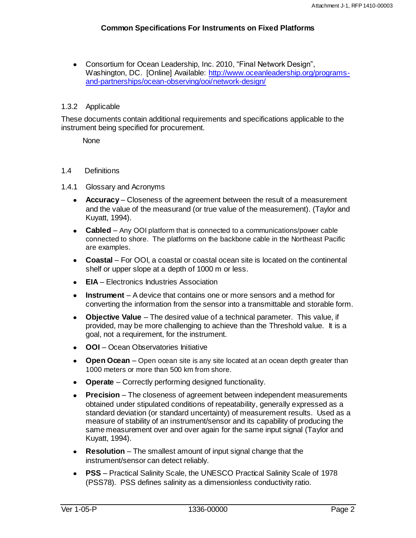Consortium for Ocean Leadership, Inc. 2010, "Final Network Design", Washington, DC. [Online] Available: [http://www.oceanleadership.org/programs](http://www.oceanleadership.org/programs-and-partnerships/ocean-observing/ooi/network-design/)[and-partnerships/ocean-observing/ooi/network-design/](http://www.oceanleadership.org/programs-and-partnerships/ocean-observing/ooi/network-design/)

#### <span id="page-6-0"></span>1.3.2 Applicable

These documents contain additional requirements and specifications applicable to the instrument being specified for procurement.

**None** 

#### <span id="page-6-1"></span>1.4 Definitions

#### <span id="page-6-2"></span>1.4.1 Glossary and Acronyms

- **Accuracy** Closeness of the agreement between the result of a measurement and the value of the measurand (or true value of the measurement). (Taylor and Kuyatt, 1994).
- **Cabled**  Any OOI platform that is connected to a communications/power cable connected to shore. The platforms on the backbone cable in the Northeast Pacific are examples.
- **Coastal**  For OOI, a coastal or coastal ocean site is located on the continental shelf or upper slope at a depth of 1000 m or less.
- **EIA** Electronics Industries Association
- **Instrument** A device that contains one or more sensors and a method for converting the information from the sensor into a transmittable and storable form.
- **Objective Value** The desired value of a technical parameter. This value, if provided, may be more challenging to achieve than the Threshold value. It is a goal, not a requirement, for the instrument.
- **OOI**  Ocean Observatories Initiative
- **Open Ocean**  Open ocean site is any site located at an ocean depth greater than 1000 meters or more than 500 km from shore.
- **Operate** Correctly performing designed functionality.
- $\bullet$ **Precision** – The closeness of agreement between independent measurements obtained under stipulated conditions of repeatability, generally expressed as a standard deviation (or standard uncertainty) of measurement results. Used as a measure of stability of an instrument/sensor and its capability of producing the same measurement over and over again for the same input signal (Taylor and Kuyatt, 1994).
- **Resolution** The smallest amount of input signal change that the instrument/sensor can detect reliably.
- **PSS** Practical Salinity Scale, the UNESCO Practical Salinity Scale of 1978 (PSS78). PSS defines salinity as a dimensionless conductivity ratio.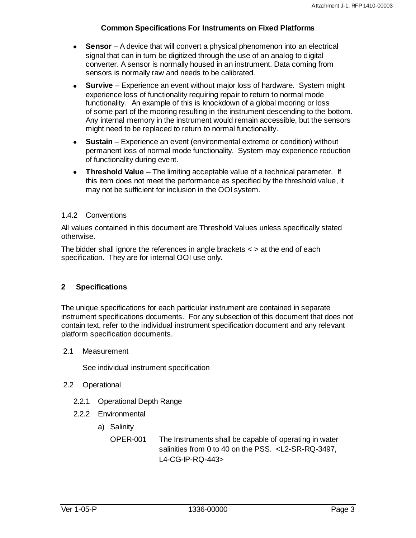- **Sensor** A device that will convert a physical phenomenon into an electrical signal that can in turn be digitized through the use of an analog to digital converter. A sensor is normally housed in an instrument. Data coming from sensors is normally raw and needs to be calibrated.
- **Survive** Experience an event without major loss of hardware. System might experience loss of functionality requiring repair to return to normal mode functionality. An example of this is knockdown of a global mooring or loss of some part of the mooring resulting in the instrument descending to the bottom. Any internal memory in the instrument would remain accessible, but the sensors might need to be replaced to return to normal functionality.
- **Sustain** Experience an event (environmental extreme or condition) without  $\bullet$ permanent loss of normal mode functionality. System may experience reduction of functionality during event.
- **Threshold Value** The limiting acceptable value of a technical parameter. If this item does not meet the performance as specified by the threshold value, it may not be sufficient for inclusion in the OOI system.

#### <span id="page-7-0"></span>1.4.2 Conventions

All values contained in this document are Threshold Values unless specifically stated otherwise.

The bidder shall ignore the references in angle brackets  $\lt$   $>$  at the end of each specification. They are for internal OOI use only.

#### <span id="page-7-1"></span>**2 Specifications**

The unique specifications for each particular instrument are contained in separate instrument specifications documents. For any subsection of this document that does not contain text, refer to the individual instrument specification document and any relevant platform specification documents.

#### <span id="page-7-2"></span>2.1 Measurement

See individual instrument specification

#### <span id="page-7-3"></span>2.2 Operational

- <span id="page-7-4"></span>2.2.1 Operational Depth Range
- <span id="page-7-5"></span>2.2.2 Environmental
	- a) Salinity

OPER-001 The Instruments shall be capable of operating in water salinities from 0 to 40 on the PSS. <L2-SR-RQ-3497, L4-CG-IP-RQ-443>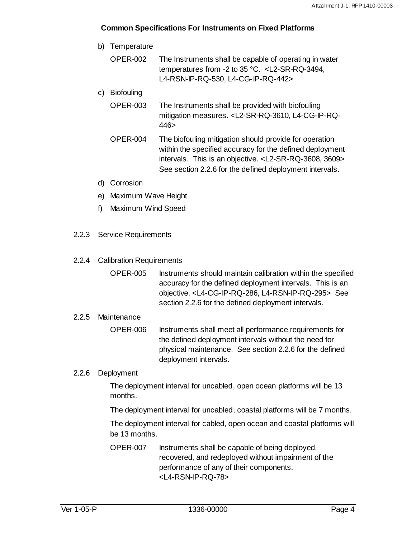- b) Temperature
	- OPER-002 The Instruments shall be capable of operating in water temperatures from -2 to 35 °C. <L2-SR-RQ-3494, L4-RSN-IP-RQ-530, L4-CG-IP-RQ-442>
- c) Biofouling
	- OPER-003 The Instruments shall be provided with biofouling mitigation measures. <L2-SR-RQ-3610, L4-CG-IP-RQ-446>
	- OPER-004 The biofouling mitigation should provide for operation within the specified accuracy for the defined deployment intervals. This is an objective. <L2-SR-RQ-3608, 3609> See section 2.2.6 for the defined deployment intervals.
- d) Corrosion
- e) Maximum Wave Height
- f) Maximum Wind Speed
- <span id="page-8-0"></span>2.2.3 Service Requirements
- <span id="page-8-1"></span>2.2.4 Calibration Requirements
	- OPER-005 Instruments should maintain calibration within the specified accuracy for the defined deployment intervals. This is an objective. <L4-CG-IP-RQ-286, L4-RSN-IP-RQ-295> See section 2.2.6 for the defined deployment intervals.

#### <span id="page-8-2"></span>2.2.5 Maintenance

OPER-006 Instruments shall meet all performance requirements for the defined deployment intervals without the need for physical maintenance. See section 2.2.6 for the defined deployment intervals.

#### <span id="page-8-3"></span>2.2.6 Deployment

The deployment interval for uncabled, open ocean platforms will be 13 months.

The deployment interval for uncabled, coastal platforms will be 7 months.

The deployment interval for cabled, open ocean and coastal platforms will be 13 months.

OPER-007 Instruments shall be capable of being deployed, recovered, and redeployed without impairment of the performance of any of their components. <L4-RSN-IP-RQ-78>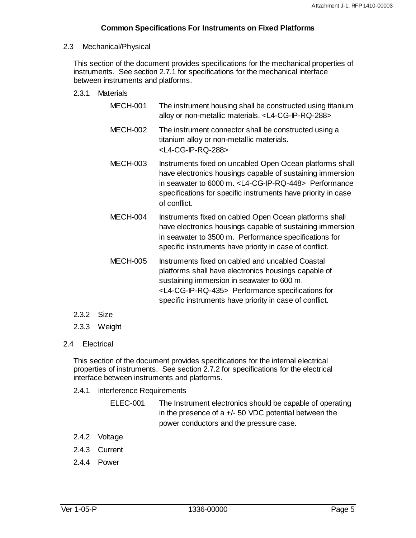#### <span id="page-9-0"></span>2.3 Mechanical/Physical

This section of the document provides specifications for the mechanical properties of instruments. See section 2.7.1 for specifications for the mechanical interface between instruments and platforms.

#### <span id="page-9-1"></span>2.3.1 Materials

- MECH-001 The instrument housing shall be constructed using titanium alloy or non-metallic materials. <L4-CG-IP-RQ-288>
- MECH-002 The instrument connector shall be constructed using a titanium alloy or non-metallic materials. <L4-CG-IP-RQ-288>
- MECH-003 Instruments fixed on uncabled Open Ocean platforms shall have electronics housings capable of sustaining immersion in seawater to 6000 m. <L4-CG-IP-RQ-448> Performance specifications for specific instruments have priority in case of conflict.
- MECH-004 Instruments fixed on cabled Open Ocean platforms shall have electronics housings capable of sustaining immersion in seawater to 3500 m. Performance specifications for specific instruments have priority in case of conflict.
- MECH-005 Instruments fixed on cabled and uncabled Coastal platforms shall have electronics housings capable of sustaining immersion in seawater to 600 m. <L4-CG-IP-RQ-435> Performance specifications for specific instruments have priority in case of conflict.
- <span id="page-9-2"></span>2.3.2 Size
- <span id="page-9-3"></span>2.3.3 Weight
- <span id="page-9-4"></span>2.4 Electrical

This section of the document provides specifications for the internal electrical properties of instruments. See section 2.7.2 for specifications for the electrical interface between instruments and platforms.

- <span id="page-9-5"></span>2.4.1 Interference Requirements
	- ELEC-001 The Instrument electronics should be capable of operating in the presence of  $a +/-$  50 VDC potential between the power conductors and the pressure case.
- <span id="page-9-6"></span>2.4.2 Voltage
- <span id="page-9-7"></span>2.4.3 Current
- <span id="page-9-8"></span>2.4.4 Power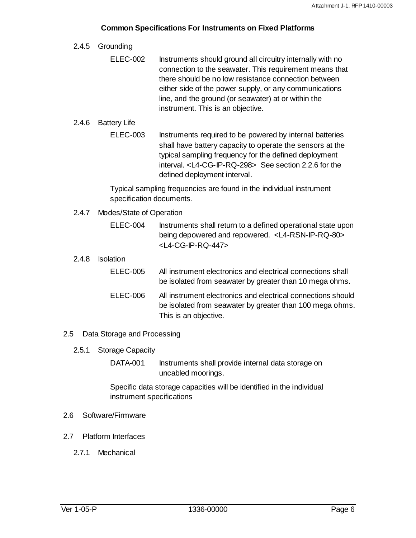#### <span id="page-10-0"></span>2.4.5 Grounding

ELEC-002 Instruments should ground all circuitry internally with no connection to the seawater. This requirement means that there should be no low resistance connection between either side of the power supply, or any communications line, and the ground (or seawater) at or within the instrument. This is an objective.

#### <span id="page-10-1"></span>2.4.6 Battery Life

ELEC-003 Instruments required to be powered by internal batteries shall have battery capacity to operate the sensors at the typical sampling frequency for the defined deployment interval. <L4-CG-IP-RQ-298> See section 2.2.6 for the defined deployment interval.

Typical sampling frequencies are found in the individual instrument specification documents.

- <span id="page-10-2"></span>2.4.7 Modes/State of Operation
	- ELEC-004 Instruments shall return to a defined operational state upon being depowered and repowered. <L4-RSN-IP-RQ-80> <L4-CG-IP-RQ-447>
- <span id="page-10-3"></span>2.4.8 Isolation

| <b>ELEC-005</b> | All instrument electronics and electrical connections shall<br>be isolated from seawater by greater than 10 mega ohms.                            |
|-----------------|---------------------------------------------------------------------------------------------------------------------------------------------------|
| ELEC-006        | All instrument electronics and electrical connections should<br>be isolated from seawater by greater than 100 mega ohms.<br>This is an objective. |

#### <span id="page-10-4"></span>2.5 Data Storage and Processing

- <span id="page-10-5"></span>2.5.1 Storage Capacity
	- DATA-001 Instruments shall provide internal data storage on uncabled moorings.

Specific data storage capacities will be identified in the individual instrument specifications

- <span id="page-10-6"></span>2.6 Software/Firmware
- <span id="page-10-8"></span><span id="page-10-7"></span>2.7 Platform Interfaces
	- 2.7.1 Mechanical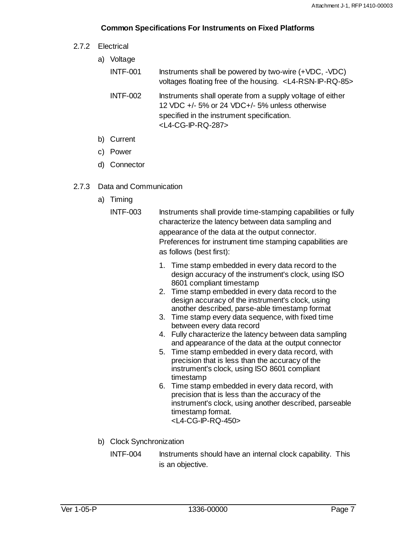<span id="page-11-0"></span>2.7.2 Electrical

| a) | Voltage         |                                                                                                                                                                                                  |  |
|----|-----------------|--------------------------------------------------------------------------------------------------------------------------------------------------------------------------------------------------|--|
|    | <b>INTF-001</b> | Instruments shall be powered by two-wire (+VDC, -VDC)<br>voltages floating free of the housing. <l4-rsn-ip-rq-85></l4-rsn-ip-rq-85>                                                              |  |
|    | <b>INTF-002</b> | Instruments shall operate from a supply voltage of either<br>12 VDC +/- 5% or 24 VDC+/- 5% unless otherwise<br>specified in the instrument specification.<br><l4-cg-ip-rq-287></l4-cg-ip-rq-287> |  |
| b) | Current         |                                                                                                                                                                                                  |  |

- c) Power
- 
- d) Connector
- <span id="page-11-1"></span>2.7.3 Data and Communication
	- a) Timing

INTF-003 Instruments shall provide time-stamping capabilities or fully characterize the latency between data sampling and appearance of the data at the output connector. Preferences for instrument time stamping capabilities are as follows (best first):

- 1. Time stamp embedded in every data record to the design accuracy of the instrument's clock, using ISO 8601 compliant timestamp
- 2. Time stamp embedded in every data record to the design accuracy of the instrument's clock, using another described, parse-able timestamp format
- 3. Time stamp every data sequence, with fixed time between every data record
- 4. Fully characterize the latency between data sampling and appearance of the data at the output connector
- 5. Time stamp embedded in every data record, with precision that is less than the accuracy of the instrument's clock, using ISO 8601 compliant timestamp
- 6. Time stamp embedded in every data record, with precision that is less than the accuracy of the instrument's clock, using another described, parseable timestamp format. <L4-CG-IP-RQ-450>
- b) Clock Synchronization
	- INTF-004 Instruments should have an internal clock capability. This is an objective.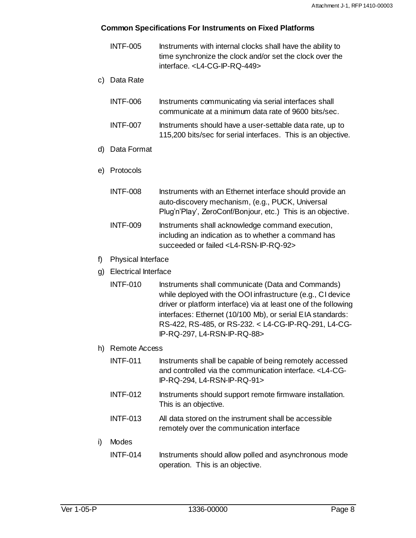- INTF-005 Instruments with internal clocks shall have the ability to time synchronize the clock and/or set the clock over the interface. <L4-CG-IP-RQ-449>
- c) Data Rate
	- INTF-006 Instruments communicating via serial interfaces shall communicate at a minimum data rate of 9600 bits/sec.
	- INTF-007 Instruments should have a user-settable data rate, up to 115,200 bits/sec for serial interfaces. This is an objective.
- d) Data Format
- e) Protocols
	- INTF-008 Instruments with an Ethernet interface should provide an auto-discovery mechanism, (e.g., PUCK, Universal Plug"n"Play", ZeroConf/Bonjour, etc.) This is an objective. INTF-009 Instruments shall acknowledge command execution,
		- including an indication as to whether a command has succeeded or failed <L4-RSN-IP-RQ-92>
- f) Physical Interface
- g) Electrical Interface
	- INTF-010 Instruments shall communicate (Data and Commands) while deployed with the OOI infrastructure (e.g., CI device driver or platform interface) via at least one of the following interfaces: Ethernet (10/100 Mb), or serial EIA standards: RS-422, RS-485, or RS-232. < L4-CG-IP-RQ-291, L4-CG-IP-RQ-297, L4-RSN-IP-RQ-88>
- h) Remote Access
	- INTF-011 Instruments shall be capable of being remotely accessed and controlled via the communication interface. <L4-CG-IP-RQ-294, L4-RSN-IP-RQ-91>
	- INTF-012 Instruments should support remote firmware installation. This is an objective.
	- INTF-013 All data stored on the instrument shall be accessible remotely over the communication interface

#### i) Modes

INTF-014 Instruments should allow polled and asynchronous mode operation. This is an objective.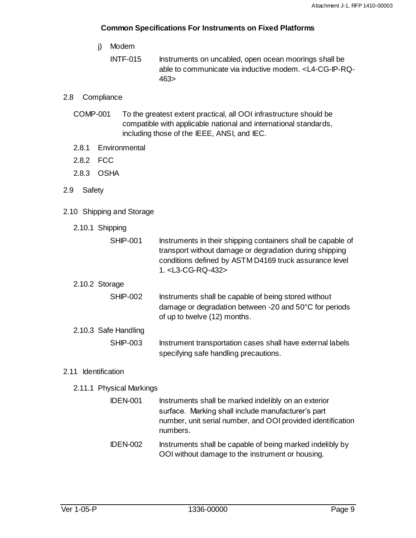- j) Modem
	- INTF-015 Instruments on uncabled, open ocean moorings shall be able to communicate via inductive modem. <L4-CG-IP-RQ-463>

#### <span id="page-13-0"></span>2.8 Compliance

- COMP-001 To the greatest extent practical, all OOI infrastructure should be compatible with applicable national and international standards, including those of the IEEE, ANSI, and IEC.
- <span id="page-13-1"></span>2.8.1 Environmental
- <span id="page-13-2"></span>2.8.2 FCC
- <span id="page-13-3"></span>2.8.3 OSHA
- <span id="page-13-4"></span>2.9 Safety
- <span id="page-13-6"></span><span id="page-13-5"></span>2.10 Shipping and Storage
	- 2.10.1 Shipping

<span id="page-13-7"></span>

| <b>SHIP-001</b>      | Instruments in their shipping containers shall be capable of<br>transport without damage or degradation during shipping<br>conditions defined by ASTM D4169 truck assurance level<br>1. <l3-cg-rq-432></l3-cg-rq-432> |
|----------------------|-----------------------------------------------------------------------------------------------------------------------------------------------------------------------------------------------------------------------|
| 2.10.2 Storage       |                                                                                                                                                                                                                       |
| <b>SHIP-002</b>      | Instruments shall be capable of being stored without<br>damage or degradation between -20 and 50°C for periods<br>of up to twelve (12) months.                                                                        |
| 2.10.3 Safe Handling |                                                                                                                                                                                                                       |
| <b>SHIP-003</b>      | Instrument transportation cases shall have external labels<br>specifying safe handling precautions.                                                                                                                   |

### <span id="page-13-9"></span><span id="page-13-8"></span>2.11 Identification

- <span id="page-13-10"></span>2.11.1 Physical Markings
	- IDEN-001 Instruments shall be marked indelibly on an exterior surface. Marking shall include manufacturer's part number, unit serial number, and OOI provided identification numbers.
	- IDEN-002 Instruments shall be capable of being marked indelibly by OOI without damage to the instrument or housing.